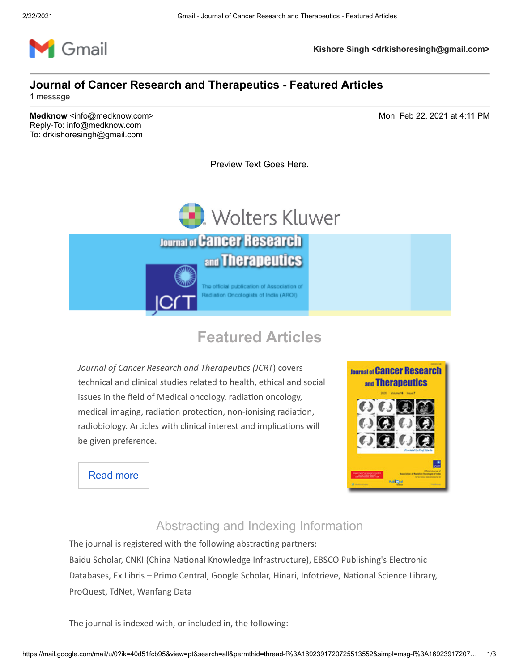

**Kishore Singh <drkishoresingh@gmail.com>**

#### **Journal of Cancer Research and Therapeutics - Featured Articles**

1 message

**Medknow** <info@medknow.com> Mon, Feb 22, 2021 at 4:11 PM Reply-To: info@medknow.com To: drkishoresingh@gmail.com

Preview Text Goes Here.



# **Featured Articles**

Journal of Cancer Research and Therapeutics (JCRT) covers technical and clinical studies related to health, ethical and social issues in the field of Medical oncology, radiation oncology, medical imaging, radiation protection, non-ionising radiation, radiobiology. Articles with clinical interest and implications will be given preference.



[Read more](http://go.lww.com/a0240N0oHF0c005ElHg09kR)

#### Abstracting and Indexing Information

The journal is registered with the following abstracting partners:

Baidu Scholar, CNKI (China National Knowledge Infrastructure), EBSCO Publishing's Electronic Databases, Ex Libris - Primo Central, Google Scholar, Hinari, Infotrieve, National Science Library, ProQuest, TdNet, Wanfang Data

The journal is indexed with, or included in, the following: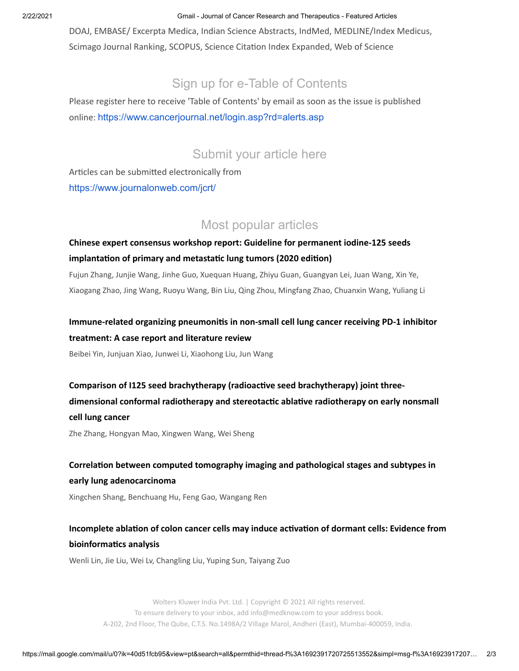2/22/2021 Gmail - Journal of Cancer Research and Therapeutics - Featured Articles

DOAJ, EMBASE/ Excerpta Medica, Indian Science Abstracts, IndMed, MEDLINE/Index Medicus, Scimago Journal Ranking, SCOPUS, Science Citation Index Expanded, Web of Science

## Sign up for e-Table of Contents

Please register here to receive 'Table of Contents' by email as soon as the issue is published online: [https://www.cancerjournal.net/login.asp?rd=alerts.asp](http://go.lww.com/s0n00No0cHg70F4H9k20R0E)

### Submit your article here

Articles can be submitted electronically from [https://www.journalonweb.com/jcrt/](http://go.lww.com/v09c0g0o0RNEFk8oH02H004)

### Most popular articles

#### **[Chinese expert consensus workshop report: Guideline for permanent iodine-125 seeds](http://go.lww.com/Bo049F2Eg000900H0cpNkHR)** implantation of primary and metastatic lung tumors (2020 edition)

Fujun Zhang, Junjie Wang, Jinhe Guo, Xuequan Huang, Zhiyu Guan, Guangyan Lei, Juan Wang, Xin Ye, Xiaogang Zhao, Jing Wang, Ruoyu Wang, Bin Liu, Qing Zhou, Mingfang Zhao, Chuanxin Wang, Yuliang Li

#### Immune-related organizing pneumonitis in non-small cell lung cancer receiving PD-1 inhibitor **treatment: A case report and literature review**

Beibei Yin, Junjuan Xiao, Junwei Li, Xiaohong Liu, Jun Wang

Comparison of I125 seed brachytherapy (radioactive seed brachytherapy) joint threedimensional conformal radiotherapy and stereotactic ablative radiotherapy on early nonsmall **cell lung cancer**

Zhe Zhang, Hongyan Mao, Xingwen Wang, Wei Sheng

#### Correlation between computed tomography imaging and pathological stages and subtypes in **early lung adenocarcinoma**

Xingchen Shang, Benchuang Hu, Feng Gao, Wangang Ren

### Incomplete ablation of colon cancer cells may induce activation of dormant cells: Evidence from **bioinformatics analysis**

Wenli Lin, Jie Liu, Wei Lv, Changling Liu, Yuping Sun, Taiyang Zuo

[Wolters Kluwer India Pvt. Ltd.](http://go.lww.com/WF0oegH9N0u2ERk00H4c000) | Copyright © 2021 All rights reserved. To ensure delivery to your inbox, add [info@medknow.com](http://go.lww.com/jHfH0o2NF009c4kgERv0000) to your address book. A-202, 2nd Floor, The Qube, C.T.S. No.1498A/2 Village Marol, Andheri (East), Mumbai-400059, India.